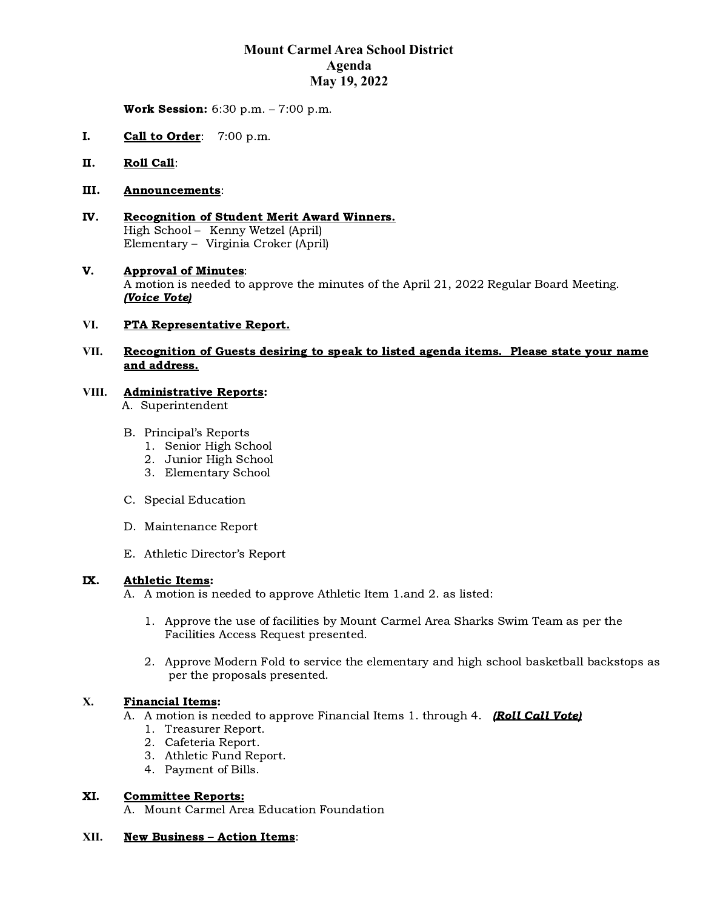# **Mount Carmel Area School District Agenda May 19, 2022**

Work Session: 6:30 p.m. – 7:00 p.m.

- I. Call to Order: 7:00 p.m.
- II. Roll Call:

### III. Announcements:

IV. Recognition of Student Merit Award Winners. High School – Kenny Wetzel (April) Elementary – Virginia Croker (April)

### V. Approval of Minutes: A motion is needed to approve the minutes of the April 21, 2022 Regular Board Meeting. (Voice Vote)

### **VI.** PTA Representative Report.

### **VII.** Recognition of Guests desiring to speak to listed agenda items. Please state your name and address.

### **VIII.** Administrative Reports:

A. Superintendent

- B. Principal's Reports
	- 1. Senior High School
	- 2. Junior High School
	- 3. Elementary School
- C. Special Education
- D. Maintenance Report
- E. Athletic Director's Report

## IX. Athletic Items:

A. A motion is needed to approve Athletic Item 1.and 2. as listed:

- 1. Approve the use of facilities by Mount Carmel Area Sharks Swim Team as per the Facilities Access Request presented.
- 2. Approve Modern Fold to service the elementary and high school basketball backstops as per the proposals presented.

### **X.** Financial Items:

- A. A motion is needed to approve Financial Items 1. through 4. **(Roll Call Vote)** 
	- 1. Treasurer Report.
	- 2. Cafeteria Report.
	- 3. Athletic Fund Report.
	- 4. Payment of Bills.

### XI. Committee Reports:

A. Mount Carmel Area Education Foundation

### **XII.** New Business – Action Items: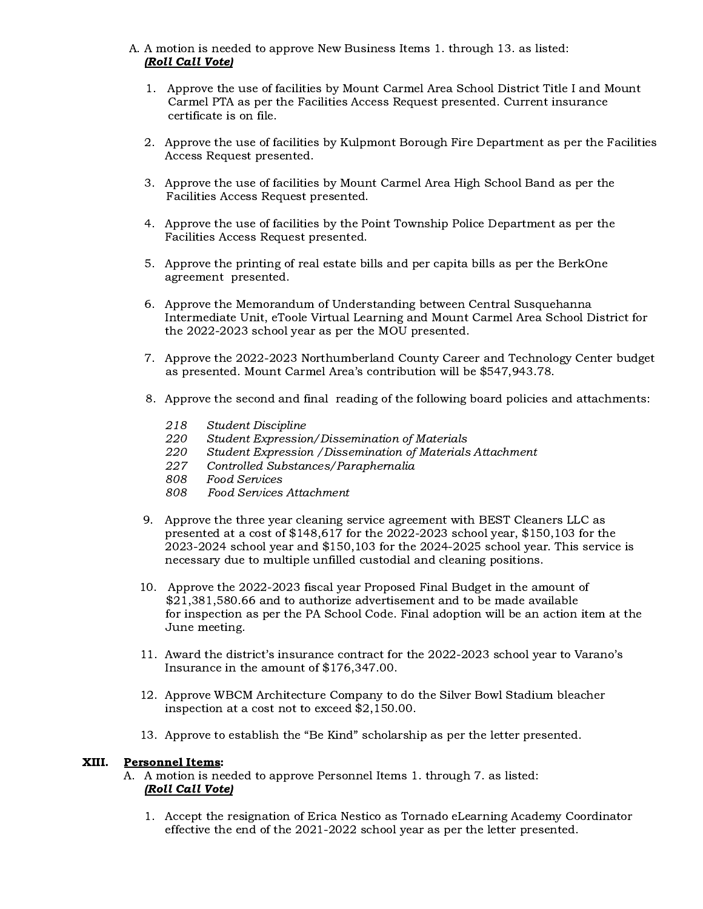- A. A motion is needed to approve New Business Items 1. through 13. as listed: (Roll Call Vote)
	- 1. Approve the use of facilities by Mount Carmel Area School District Title I and Mount Carmel PTA as per the Facilities Access Request presented. Current insurance certificate is on file.
	- 2. Approve the use of facilities by Kulpmont Borough Fire Department as per the Facilities Access Request presented.
	- 3. Approve the use of facilities by Mount Carmel Area High School Band as per the Facilities Access Request presented.
	- 4. Approve the use of facilities by the Point Township Police Department as per the Facilities Access Request presented.
	- 5. Approve the printing of real estate bills and per capita bills as per the BerkOne agreement presented.
	- 6. Approve the Memorandum of Understanding between Central Susquehanna Intermediate Unit, eToole Virtual Learning and Mount Carmel Area School District for the 2022-2023 school year as per the MOU presented.
	- 7. Approve the 2022-2023 Northumberland County Career and Technology Center budget as presented. Mount Carmel Area's contribution will be \$547,943.78.
	- 8. Approve the second and final reading of the following board policies and attachments:
		- 218 Student Discipline
		- 220 Student Expression/Dissemination of Materials
		- 220 Student Expression /Dissemination of Materials Attachment
		- 227 Controlled Substances/Paraphernalia
		- 808 Food Services
		- Food Services Attachment
	- 9. Approve the three year cleaning service agreement with BEST Cleaners LLC as presented at a cost of \$148,617 for the 2022-2023 school year, \$150,103 for the 2023-2024 school year and \$150,103 for the 2024-2025 school year. This service is necessary due to multiple unfilled custodial and cleaning positions.
	- 10. Approve the 2022-2023 fiscal year Proposed Final Budget in the amount of \$21,381,580.66 and to authorize advertisement and to be made available for inspection as per the PA School Code. Final adoption will be an action item at the June meeting.
	- 11. Award the district's insurance contract for the 2022-2023 school year to Varano's Insurance in the amount of \$176,347.00.
	- 12. Approve WBCM Architecture Company to do the Silver Bowl Stadium bleacher inspection at a cost not to exceed \$2,150.00.
	- 13. Approve to establish the "Be Kind" scholarship as per the letter presented.

### XIII. Personnel Items:

- A. A motion is needed to approve Personnel Items 1. through 7. as listed: (Roll Call Vote)
	- 1. Accept the resignation of Erica Nestico as Tornado eLearning Academy Coordinator effective the end of the 2021-2022 school year as per the letter presented.